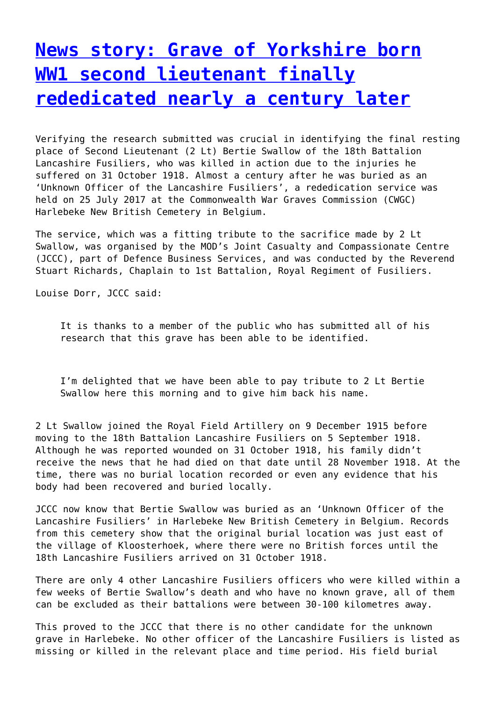## **[News story: Grave of Yorkshire born](http://www.government-world.com/news-story-grave-of-yorkshire-born-ww1-second-lieutenant-finally-rededicated-nearly-a-century-later/) [WW1 second lieutenant finally](http://www.government-world.com/news-story-grave-of-yorkshire-born-ww1-second-lieutenant-finally-rededicated-nearly-a-century-later/) [rededicated nearly a century later](http://www.government-world.com/news-story-grave-of-yorkshire-born-ww1-second-lieutenant-finally-rededicated-nearly-a-century-later/)**

Verifying the research submitted was crucial in identifying the final resting place of Second Lieutenant (2 Lt) Bertie Swallow of the 18th Battalion Lancashire Fusiliers, who was killed in action due to the injuries he suffered on 31 October 1918. Almost a century after he was buried as an 'Unknown Officer of the Lancashire Fusiliers', a rededication service was held on 25 July 2017 at the Commonwealth War Graves Commission (CWGC) Harlebeke New British Cemetery in Belgium.

The service, which was a fitting tribute to the sacrifice made by 2 Lt Swallow, was organised by the MOD's Joint Casualty and Compassionate Centre (JCCC), part of Defence Business Services, and was conducted by the Reverend Stuart Richards, Chaplain to 1st Battalion, Royal Regiment of Fusiliers.

Louise Dorr, JCCC said:

It is thanks to a member of the public who has submitted all of his research that this grave has been able to be identified.

I'm delighted that we have been able to pay tribute to 2 Lt Bertie Swallow here this morning and to give him back his name.

2 Lt Swallow joined the Royal Field Artillery on 9 December 1915 before moving to the 18th Battalion Lancashire Fusiliers on 5 September 1918. Although he was reported wounded on 31 October 1918, his family didn't receive the news that he had died on that date until 28 November 1918. At the time, there was no burial location recorded or even any evidence that his body had been recovered and buried locally.

JCCC now know that Bertie Swallow was buried as an 'Unknown Officer of the Lancashire Fusiliers' in Harlebeke New British Cemetery in Belgium. Records from this cemetery show that the original burial location was just east of the village of Kloosterhoek, where there were no British forces until the 18th Lancashire Fusiliers arrived on 31 October 1918.

There are only 4 other Lancashire Fusiliers officers who were killed within a few weeks of Bertie Swallow's death and who have no known grave, all of them can be excluded as their battalions were between 30-100 kilometres away.

This proved to the JCCC that there is no other candidate for the unknown grave in Harlebeke. No other officer of the Lancashire Fusiliers is listed as missing or killed in the relevant place and time period. His field burial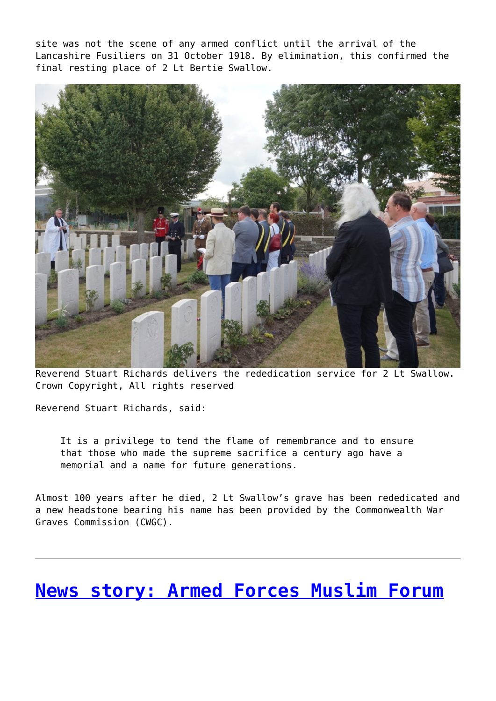site was not the scene of any armed conflict until the arrival of the Lancashire Fusiliers on 31 October 1918. By elimination, this confirmed the final resting place of 2 Lt Bertie Swallow.



Reverend Stuart Richards delivers the rededication service for 2 Lt Swallow. Crown Copyright, All rights reserved

Reverend Stuart Richards, said:

It is a privilege to tend the flame of remembrance and to ensure that those who made the supreme sacrifice a century ago have a memorial and a name for future generations.

Almost 100 years after he died, 2 Lt Swallow's grave has been rededicated and a new headstone bearing his name has been provided by the Commonwealth War Graves Commission (CWGC).

#### **[News story: Armed Forces Muslim Forum](http://www.government-world.com/news-story-armed-forces-muslim-forum-celebrates-eid-with-the-muslim-community/)**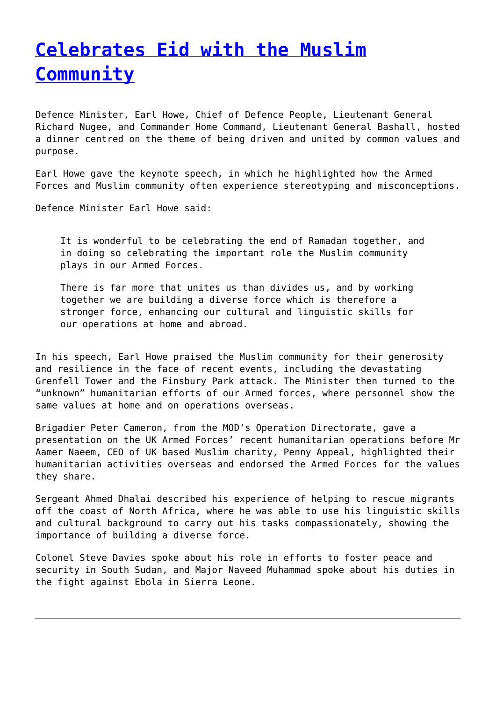## **[Celebrates Eid with the Muslim](http://www.government-world.com/news-story-armed-forces-muslim-forum-celebrates-eid-with-the-muslim-community/) [Community](http://www.government-world.com/news-story-armed-forces-muslim-forum-celebrates-eid-with-the-muslim-community/)**

Defence Minister, Earl Howe, Chief of Defence People, Lieutenant General Richard Nugee, and Commander Home Command, Lieutenant General Bashall, hosted a dinner centred on the theme of being driven and united by common values and purpose.

Earl Howe gave the keynote speech, in which he highlighted how the Armed Forces and Muslim community often experience stereotyping and misconceptions.

Defence Minister Earl Howe said:

It is wonderful to be celebrating the end of Ramadan together, and in doing so celebrating the important role the Muslim community plays in our Armed Forces.

There is far more that unites us than divides us, and by working together we are building a diverse force which is therefore a stronger force, enhancing our cultural and linguistic skills for our operations at home and abroad.

In his speech, Earl Howe praised the Muslim community for their generosity and resilience in the face of recent events, including the devastating Grenfell Tower and the Finsbury Park attack. The Minister then turned to the "unknown" humanitarian efforts of our Armed forces, where personnel show the same values at home and on operations overseas.

Brigadier Peter Cameron, from the MOD's Operation Directorate, gave a presentation on the UK Armed Forces' recent humanitarian operations before Mr Aamer Naeem, CEO of UK based Muslim charity, Penny Appeal, highlighted their humanitarian activities overseas and endorsed the Armed Forces for the values they share.

Sergeant Ahmed Dhalai described his experience of helping to rescue migrants off the coast of North Africa, where he was able to use his linguistic skills and cultural background to carry out his tasks compassionately, showing the importance of building a diverse force.

Colonel Steve Davies spoke about his role in efforts to foster peace and security in South Sudan, and Major Naveed Muhammad spoke about his duties in the fight against Ebola in Sierra Leone.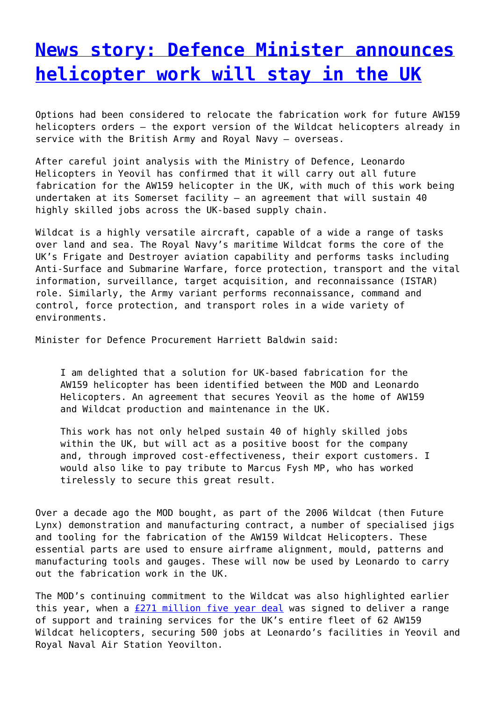#### **[News story: Defence Minister announces](http://www.government-world.com/news-story-defence-minister-announces-helicopter-work-will-stay-in-the-uk-2/) [helicopter work will stay in the UK](http://www.government-world.com/news-story-defence-minister-announces-helicopter-work-will-stay-in-the-uk-2/)**

Options had been considered to relocate the fabrication work for future AW159 helicopters orders – the export version of the Wildcat helicopters already in service with the British Army and Royal Navy – overseas.

After careful joint analysis with the Ministry of Defence, Leonardo Helicopters in Yeovil has confirmed that it will carry out all future fabrication for the AW159 helicopter in the UK, with much of this work being undertaken at its Somerset facility – an agreement that will sustain 40 highly skilled jobs across the UK-based supply chain.

Wildcat is a highly versatile aircraft, capable of a wide a range of tasks over land and sea. The Royal Navy's maritime Wildcat forms the core of the UK's Frigate and Destroyer aviation capability and performs tasks including Anti-Surface and Submarine Warfare, force protection, transport and the vital information, surveillance, target acquisition, and reconnaissance (ISTAR) role. Similarly, the Army variant performs reconnaissance, command and control, force protection, and transport roles in a wide variety of environments.

Minister for Defence Procurement Harriett Baldwin said:

I am delighted that a solution for UK-based fabrication for the AW159 helicopter has been identified between the MOD and Leonardo Helicopters. An agreement that secures Yeovil as the home of AW159 and Wildcat production and maintenance in the UK.

This work has not only helped sustain 40 of highly skilled jobs within the UK, but will act as a positive boost for the company and, through improved cost-effectiveness, their export customers. I would also like to pay tribute to Marcus Fysh MP, who has worked tirelessly to secure this great result.

Over a decade ago the MOD bought, as part of the 2006 Wildcat (then Future Lynx) demonstration and manufacturing contract, a number of specialised jigs and tooling for the fabrication of the AW159 Wildcat Helicopters. These essential parts are used to ensure airframe alignment, mould, patterns and manufacturing tools and gauges. These will now be used by Leonardo to carry out the fabrication work in the UK.

The MOD's continuing commitment to the Wildcat was also highlighted earlier this year, when a [£271 million five year deal](https://www.gov.uk/government/news/271m-wildcat-helicopter-support-deal-sustains-500-uk-jobs) was signed to deliver a range of support and training services for the UK's entire fleet of 62 AW159 Wildcat helicopters, securing 500 jobs at Leonardo's facilities in Yeovil and Royal Naval Air Station Yeovilton.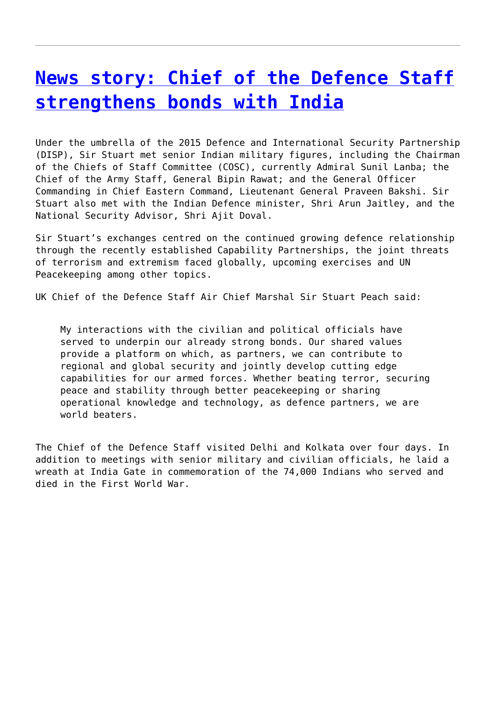### **[News story: Chief of the Defence Staff](http://www.government-world.com/news-story-chief-of-the-defence-staff-strengthens-bonds-with-india-2/) [strengthens bonds with India](http://www.government-world.com/news-story-chief-of-the-defence-staff-strengthens-bonds-with-india-2/)**

Under the umbrella of the 2015 Defence and International Security Partnership (DISP), Sir Stuart met senior Indian military figures, including the Chairman of the Chiefs of Staff Committee (COSC), currently Admiral Sunil Lanba; the Chief of the Army Staff, General Bipin Rawat; and the General Officer Commanding in Chief Eastern Command, Lieutenant General Praveen Bakshi. Sir Stuart also met with the Indian Defence minister, Shri Arun Jaitley, and the National Security Advisor, Shri Ajit Doval.

Sir Stuart's exchanges centred on the continued growing defence relationship through the recently established Capability Partnerships, the joint threats of terrorism and extremism faced globally, upcoming exercises and UN Peacekeeping among other topics.

UK Chief of the Defence Staff Air Chief Marshal Sir Stuart Peach said:

My interactions with the civilian and political officials have served to underpin our already strong bonds. Our shared values provide a platform on which, as partners, we can contribute to regional and global security and jointly develop cutting edge capabilities for our armed forces. Whether beating terror, securing peace and stability through better peacekeeping or sharing operational knowledge and technology, as defence partners, we are world beaters.

The Chief of the Defence Staff visited Delhi and Kolkata over four days. In addition to meetings with senior military and civilian officials, he laid a wreath at India Gate in commemoration of the 74,000 Indians who served and died in the First World War.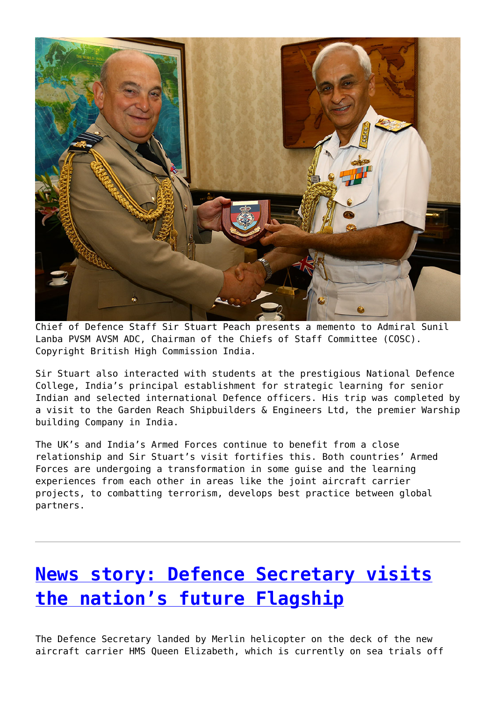

Chief of Defence Staff Sir Stuart Peach presents a memento to Admiral Sunil Lanba PVSM AVSM ADC, Chairman of the Chiefs of Staff Committee (COSC). Copyright British High Commission India.

Sir Stuart also interacted with students at the prestigious National Defence College, India's principal establishment for strategic learning for senior Indian and selected international Defence officers. His trip was completed by a visit to the Garden Reach Shipbuilders & Engineers Ltd, the premier Warship building Company in India.

The UK's and India's Armed Forces continue to benefit from a close relationship and Sir Stuart's visit fortifies this. Both countries' Armed Forces are undergoing a transformation in some guise and the learning experiences from each other in areas like the joint aircraft carrier projects, to combatting terrorism, develops best practice between global partners.

# **[News story: Defence Secretary visits](http://www.government-world.com/news-story-defence-secretary-visits-the-nations-future-flagship/) [the nation's future Flagship](http://www.government-world.com/news-story-defence-secretary-visits-the-nations-future-flagship/)**

The Defence Secretary landed by Merlin helicopter on the deck of the new aircraft carrier HMS Queen Elizabeth, which is currently on sea trials off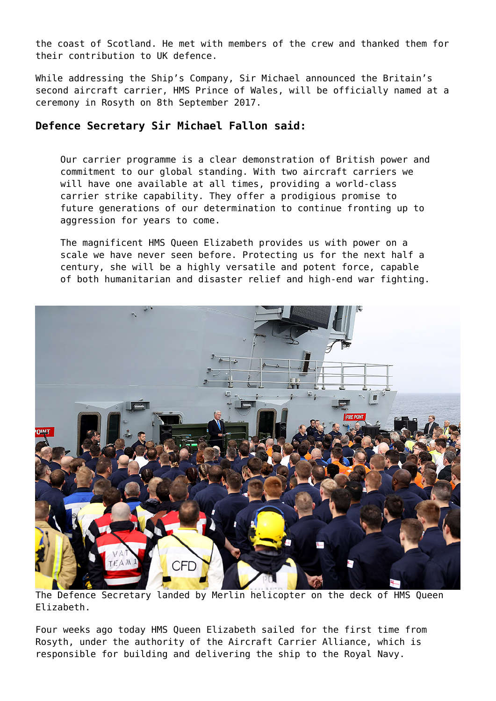the coast of Scotland. He met with members of the crew and thanked them for their contribution to UK defence.

While addressing the Ship's Company, Sir Michael announced the Britain's second aircraft carrier, HMS Prince of Wales, will be officially named at a ceremony in Rosyth on 8th September 2017.

#### **Defence Secretary Sir Michael Fallon said:**

Our carrier programme is a clear demonstration of British power and commitment to our global standing. With two aircraft carriers we will have one available at all times, providing a world-class carrier strike capability. They offer a prodigious promise to future generations of our determination to continue fronting up to aggression for years to come.

The magnificent HMS Queen Elizabeth provides us with power on a scale we have never seen before. Protecting us for the next half a century, she will be a highly versatile and potent force, capable of both humanitarian and disaster relief and high-end war fighting.



The Defence Secretary landed by Merlin helicopter on the deck of HMS Queen Elizabeth.

Four weeks ago today HMS Queen Elizabeth sailed for the first time from Rosyth, under the authority of the Aircraft Carrier Alliance, which is responsible for building and delivering the ship to the Royal Navy.